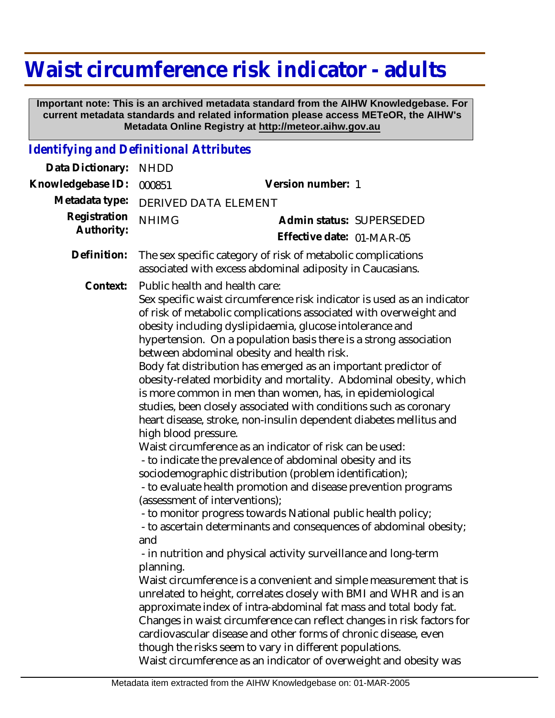## **Waist circumference risk indicator - adults**

 **Important note: This is an archived metadata standard from the AIHW Knowledgebase. For current metadata standards and related information please access METeOR, the AIHW's Metadata Online Registry at http://meteor.aihw.gov.au**

## *Identifying and Definitional Attributes*

| Data Dictionary:           | <b>NHDD</b>                                                                                                                                                                                                                                                                                                                                                                                                                                                                                                                                                                                                                                                                                                                                                                                                                                                                                                                                                                                                                                                                                                                                                                                                                                                                                                                                                                                                                                                                                                                                                                                                                                                                        |                                                       |  |
|----------------------------|------------------------------------------------------------------------------------------------------------------------------------------------------------------------------------------------------------------------------------------------------------------------------------------------------------------------------------------------------------------------------------------------------------------------------------------------------------------------------------------------------------------------------------------------------------------------------------------------------------------------------------------------------------------------------------------------------------------------------------------------------------------------------------------------------------------------------------------------------------------------------------------------------------------------------------------------------------------------------------------------------------------------------------------------------------------------------------------------------------------------------------------------------------------------------------------------------------------------------------------------------------------------------------------------------------------------------------------------------------------------------------------------------------------------------------------------------------------------------------------------------------------------------------------------------------------------------------------------------------------------------------------------------------------------------------|-------------------------------------------------------|--|
| Knowledgebase ID:          | 000851                                                                                                                                                                                                                                                                                                                                                                                                                                                                                                                                                                                                                                                                                                                                                                                                                                                                                                                                                                                                                                                                                                                                                                                                                                                                                                                                                                                                                                                                                                                                                                                                                                                                             | Version number: 1                                     |  |
| Metadata type:             | DERIVED DATA ELEMENT                                                                                                                                                                                                                                                                                                                                                                                                                                                                                                                                                                                                                                                                                                                                                                                                                                                                                                                                                                                                                                                                                                                                                                                                                                                                                                                                                                                                                                                                                                                                                                                                                                                               |                                                       |  |
| Registration<br>Authority: | <b>NHIMG</b>                                                                                                                                                                                                                                                                                                                                                                                                                                                                                                                                                                                                                                                                                                                                                                                                                                                                                                                                                                                                                                                                                                                                                                                                                                                                                                                                                                                                                                                                                                                                                                                                                                                                       | Admin status: SUPERSEDED<br>Effective date: 01-MAR-05 |  |
| Definition:                | The sex specific category of risk of metabolic complications<br>associated with excess abdominal adiposity in Caucasians.                                                                                                                                                                                                                                                                                                                                                                                                                                                                                                                                                                                                                                                                                                                                                                                                                                                                                                                                                                                                                                                                                                                                                                                                                                                                                                                                                                                                                                                                                                                                                          |                                                       |  |
| Context:                   | Public health and health care:<br>Sex specific waist circumference risk indicator is used as an indicator<br>of risk of metabolic complications associated with overweight and<br>obesity including dyslipidaemia, glucose intolerance and<br>hypertension. On a population basis there is a strong association<br>between abdominal obesity and health risk.<br>Body fat distribution has emerged as an important predictor of<br>obesity-related morbidity and mortality. Abdominal obesity, which<br>is more common in men than women, has, in epidemiological<br>studies, been closely associated with conditions such as coronary<br>heart disease, stroke, non-insulin dependent diabetes mellitus and<br>high blood pressure.<br>Waist circumference as an indicator of risk can be used:<br>- to indicate the prevalence of abdominal obesity and its<br>sociodemographic distribution (problem identification);<br>- to evaluate health promotion and disease prevention programs<br>(assessment of interventions);<br>- to monitor progress towards National public health policy;<br>- to ascertain determinants and consequences of abdominal obesity;<br>and<br>- in nutrition and physical activity surveillance and long-term<br>planning.<br>Waist circumference is a convenient and simple measurement that is<br>unrelated to height, correlates closely with BMI and WHR and is an<br>approximate index of intra-abdominal fat mass and total body fat.<br>Changes in waist circumference can reflect changes in risk factors for<br>cardiovascular disease and other forms of chronic disease, even<br>though the risks seem to vary in different populations. |                                                       |  |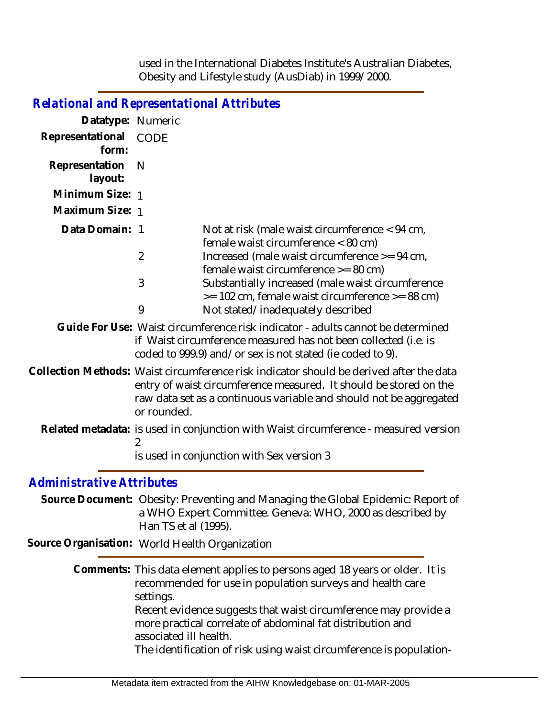used in the International Diabetes Institute's Australian Diabetes, Obesity and Lifestyle study (AusDiab) in 1999/2000.

| <b>Relational and Representational Attributes</b> |                                                                                      |                                                                                                                                                                                                                                    |  |
|---------------------------------------------------|--------------------------------------------------------------------------------------|------------------------------------------------------------------------------------------------------------------------------------------------------------------------------------------------------------------------------------|--|
| Datatype: Numeric                                 |                                                                                      |                                                                                                                                                                                                                                    |  |
| Representational<br>form:                         | <b>CODE</b>                                                                          |                                                                                                                                                                                                                                    |  |
| Representation<br>layout:                         | N                                                                                    |                                                                                                                                                                                                                                    |  |
| Minimum Size: 1                                   |                                                                                      |                                                                                                                                                                                                                                    |  |
| Maximum Size: 1                                   |                                                                                      |                                                                                                                                                                                                                                    |  |
| Data Domain: 1                                    |                                                                                      | Not at risk (male waist circumference $<$ 94 cm,<br>female waist circumference < 80 cm)                                                                                                                                            |  |
|                                                   | $\overline{2}$                                                                       | Increased (male waist circumference >= 94 cm,<br>female waist circumference >= 80 cm)                                                                                                                                              |  |
|                                                   | 3                                                                                    | Substantially increased (male waist circumference<br>$\epsilon$ = 102 cm, female waist circumference $\epsilon$ = 88 cm)                                                                                                           |  |
|                                                   | 9                                                                                    | Not stated/inadequately described                                                                                                                                                                                                  |  |
|                                                   |                                                                                      | Guide For Use: Waist circumference risk indicator - adults cannot be determined<br>if Waist circumference measured has not been collected (i.e. is<br>coded to 999.9) and/or sex is not stated (ie coded to 9).                    |  |
|                                                   | or rounded.                                                                          | Collection Methods: Waist circumference risk indicator should be derived after the data<br>entry of waist circumference measured. It should be stored on the<br>raw data set as a continuous variable and should not be aggregated |  |
|                                                   | Related metadata: is used in conjunction with Waist circumference - measured version |                                                                                                                                                                                                                                    |  |
|                                                   |                                                                                      | is used in conjunction with Sex version 3                                                                                                                                                                                          |  |
| <b>Administrative Attributes</b>                  |                                                                                      |                                                                                                                                                                                                                                    |  |
|                                                   | Han TS et al (1995).                                                                 | Source Document: Obesity: Preventing and Managing the Global Epidemic: Report of<br>a WHO Expert Committee. Geneva: WHO, 2000 as described by                                                                                      |  |
| Source Organisation: World Health Organization    |                                                                                      |                                                                                                                                                                                                                                    |  |
|                                                   | settings.                                                                            | Comments: This data element applies to persons aged 18 years or older. It is<br>recommended for use in population surveys and health care                                                                                          |  |
|                                                   | associated ill health.                                                               | Recent evidence suggests that waist circumference may provide a<br>more practical correlate of abdominal fat distribution and                                                                                                      |  |
|                                                   |                                                                                      | The identification of risk using waist circumference is population-                                                                                                                                                                |  |
|                                                   |                                                                                      |                                                                                                                                                                                                                                    |  |